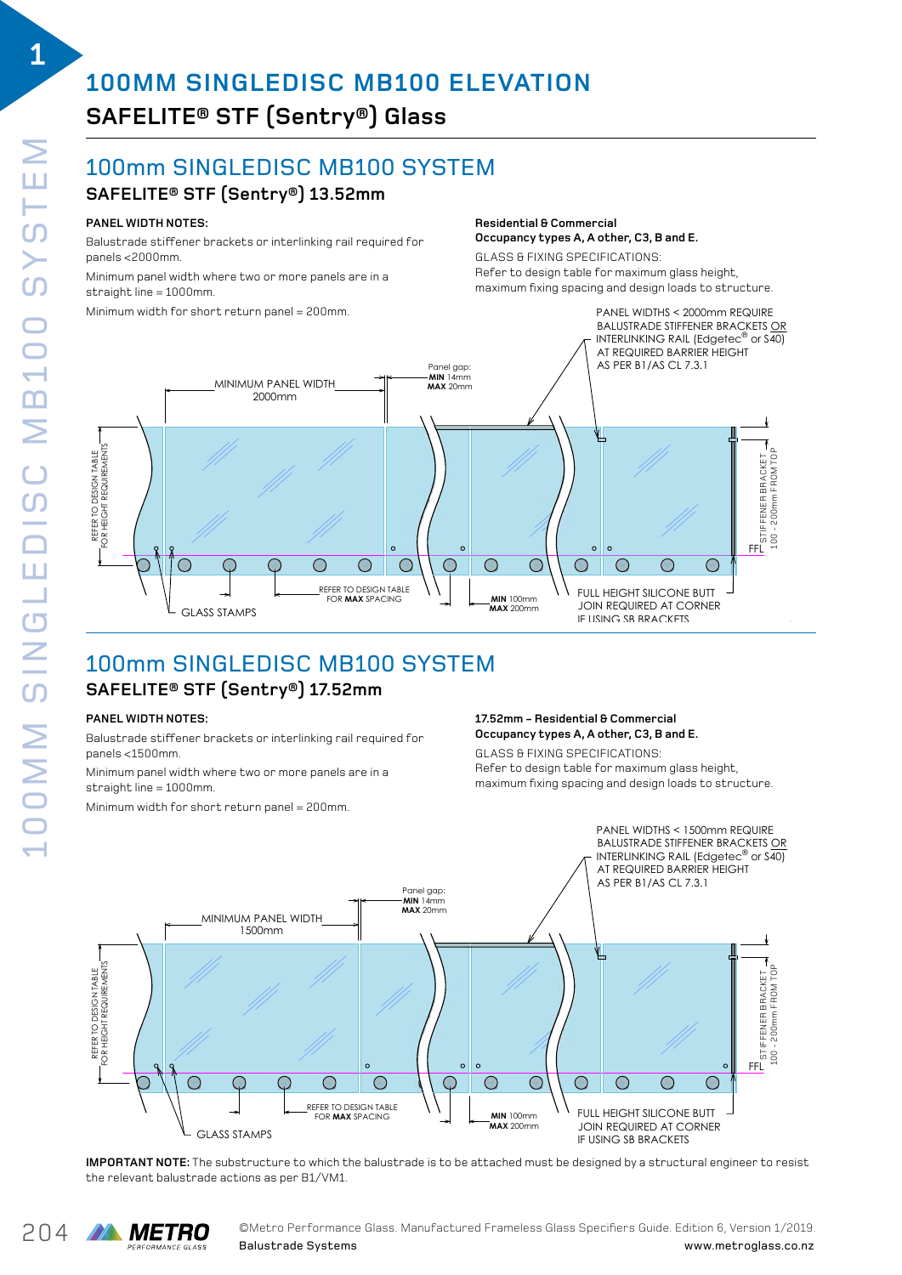**1**

## **100MM SINGLEDISC MB100 ELEVATION SAFELITE® STF (Sentry®) Glass**   $\mathbf{S}$

### 100mm SINGLEDISC MB100 SYSTEM SISC MB100 SYSTEM

# $\mathsf{SAFELITE}^{\circledast}\mathsf{STF}\left(\mathsf{Sentry}^{\circledast}\right)\mathsf{13.52mm}$

#### **PANEL WIDTH NOTES:**

Balustrade stiffener brackets or interlinking rail required for panels <2000mm.

paneis <zuuumm.<br>Minimum panel width where two or more panels are in a  $straight line = 1000mm$ .

 $\sim$  Minimum width for short return panel = 200mm. imum width for short re  $B = E$ ustrade stigt or interling rail required for  $F = E$ 

### **Residential & Commercial Occupancy types A, A other, C3, B and E.** Occupancy types A, A other, C3, B and E.

GLASS & FIXING SPECIFICATIONS: azhed e rimma er zen rennene.<br>Refer to design table for maximum glass height, maximum fixing spacing and design loads to structure. aximum rixing spacing and design idads to str



#### 100mm SINGLEDISC MB100 SYSTEM  $\mathsf{SAFELITE}^{\circledast} \mathsf{STF}\left(\mathsf{Sentry}^{\circledast}\right)\mathsf{17.52mm}$ **Residential & Commercial**  $\cdots$   $\cdots$

### PANEL WIDTH NOTES:

Balustrade stiffener brackets or interlinking rail required for panels <1500mm.

panels as sension.<br>Minimum panel width where two or more panels are in a straight line = 1000mm. panels <1500mm. imum panel width where two or more panels are in a

Minimum width for short return panel = 200mm. imum width for short re

#### 17.52mm – Residential & Commercial Occupancy types A, A other, C3, B and E. refer to desidential & Commercial<br>**Resident Occupancy types A, A other, C3, B and E.**

GLASS & FIXING SPECIFICATIONS: GLASS & FIXING SPECIFICATIONS: Refer to design table for maximum glass height, refer to design table for maximum glass height, maximum fixing spacing and design loads to structure. maximum fixing spacing and design loads to structure.



IMPORTANT NOTE: The substructure to which the balustrade is to be attached must be designed by a structural engineer to resist the relevant balustrade actions as per B1/VM1. structural engineer to resist the relevant balustrade actions as per B1/VM1.

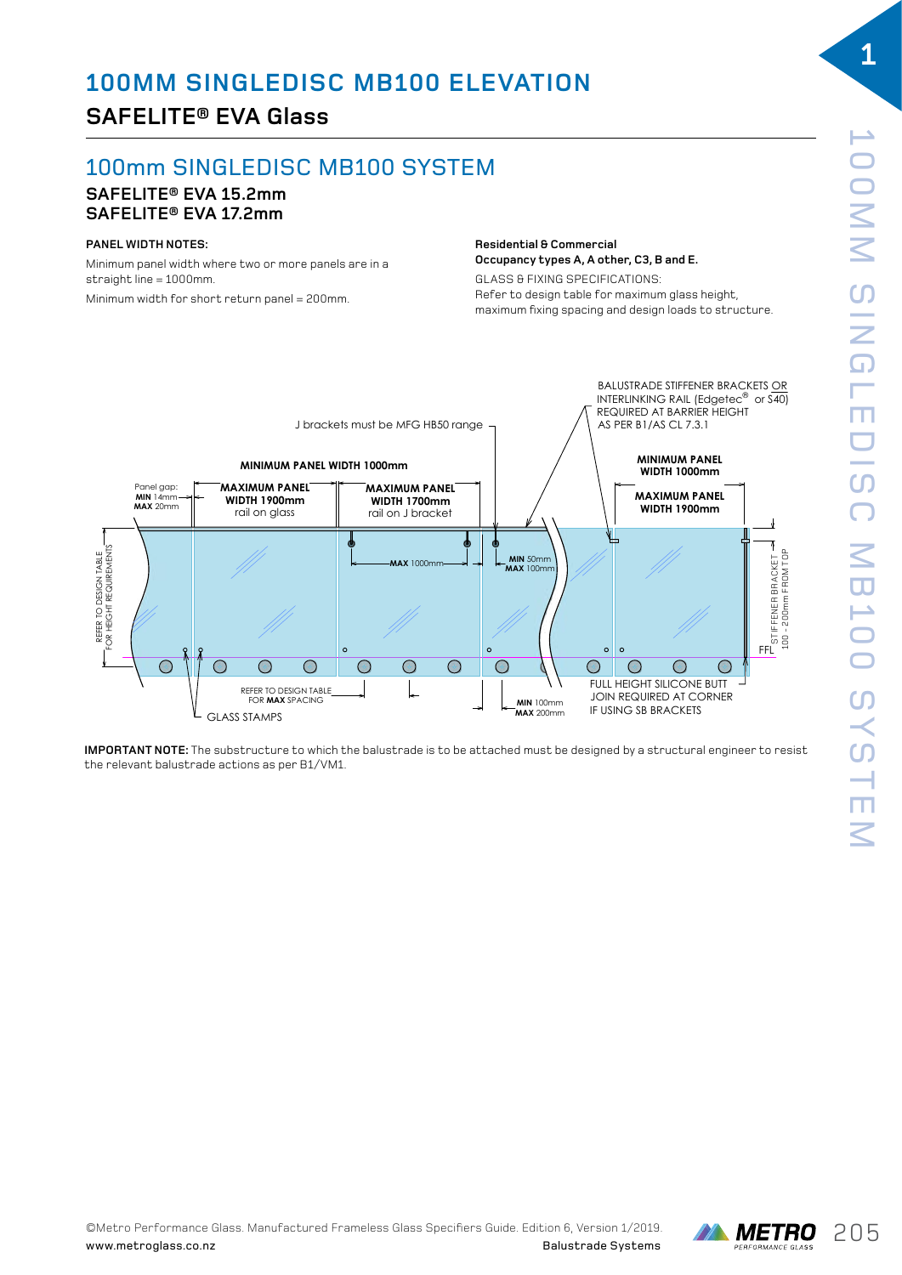## **SAFELITE® EVA Glass**

# 100mm SINGLEDISC MB100 SYSTEM

#### **SAFELITE® EVA 15.2mm SAFELITE® EVA 17.2mm**  $\mathbf{S}$

#### **PANEL WIDTH NOTES:**

www.metroglass.co.nz

Minimum panel width where two or more panels are in a  $straight line = 1000mm$ . Minimum width for short return panel = 200mm.

#### **Residential & Commercial Occupancy types A, A other, C3, B and E.** ELEVATION DRAWING 02

GLASS & FIXING SPECIFICATIONS: **Residential & commercial OCCUPATION IS ANNET CONCLUSION** maximum fixing spacing and design loads to structure.



**IMPORTANT NOTE:** The substructure to which the balustrade is to be attached must be designed by a structural engineer to resist the relevant balustrade actions as per B1/VM1.

**1**

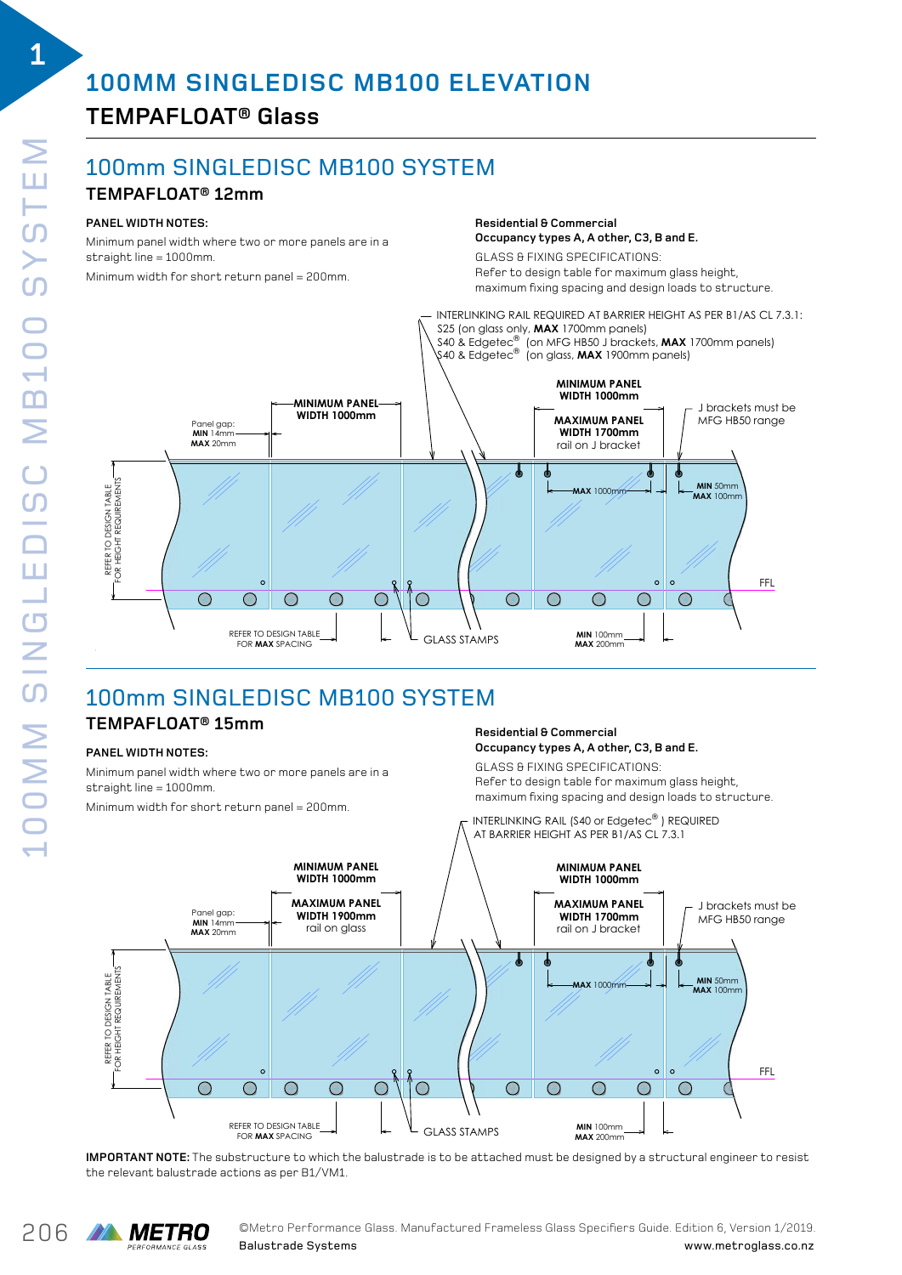# **TEMPAFLOAT® Glass**

### 100mm SINGLEDISC MB100 SYSTEM SUMB100 BALUSTRADE SYSTEMS

### **TEMPAFLOAT® 12mm**

### **PANEL WIDTH NOTES:**

Minimum panel width where two or more panels are in a straight line = 1000mm. TEMPAFLOAT 12mm SINGLE DISC MB100 SYSTEM

m<br>Minimum width for short return panel = 200mm.

**Residential & Commercial Residential & commercial Occupancy types A, A other, C3, B and E. Occupancy types A, A other, C3, B and E. Residential & commercial**

GLASS & FIXING SPECIFICATIONS: acheed of milita of components.<br>Refer to design table for maximum glass height, maximum fixing spacing and design loads to structure. Refer to design table for maximum glass height, imum fixing spacing and design loads to structure. glass of the specification of the summands:



# 100mm SINGLEDISC MB100 SYSTEM

#### **TEMPAFLOAT® 15mm** SINGLE DISC MB100 SYSTEM AFLUAI® 15mm

### **PANEL WIDTH NOTES:**

Minimum panel width where two or more panels are in a straight line = 1000mm.

maximum fixing spacing and design loads to s<br>Minimum width for short return panel = 200mm. Interventional are interventional parall (SAO or Edgetec ) and a an widen for short recu

#### **Residential & Commercial Occupancy types A, A other, C3, B and E.** Occupancy types A, A other, C3, B and E.

GLASS & FIXING SPECIFICATIONS: Refer to design table for maximum glass height, maximum fixing spacing and design loads to structure.  $R_{\rm F}$ ano $\gamma$  o $\gamma$ poo $\gamma$ i $\gamma$ i oonor $\gamma$  oo $\gamma$  b and  $L$ :



IMPORTANT NOTE: The substructure to which the balustrade is to be attached must be designed by a structural engineer to resist the relevant balustrade actions as per B1/VM1. structural engineer to resist the relevant balustrade actions as per B1/VM1.

**1**

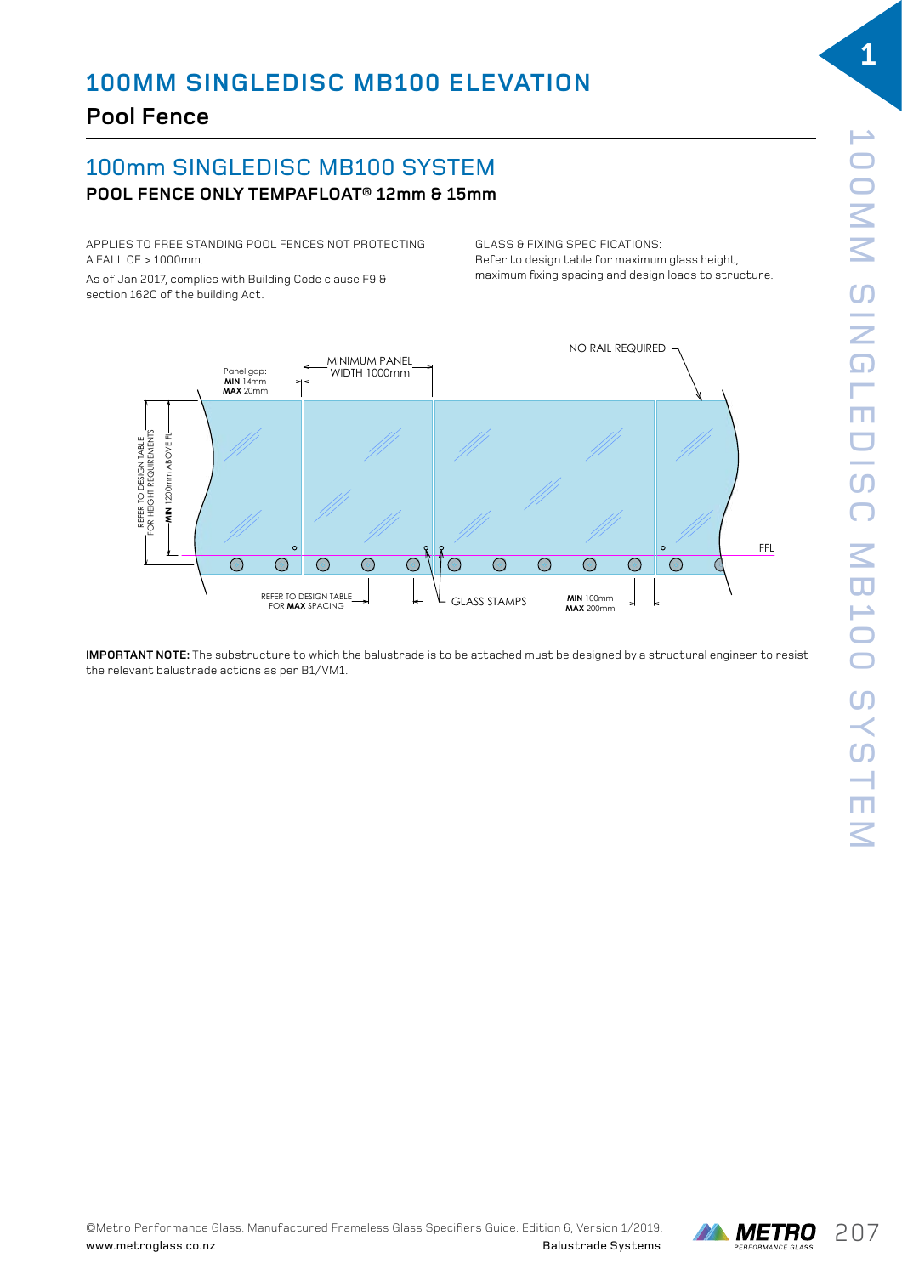# 100mm SINGLEDISC MB100 SYSTEM **POOL FENCE ONLY TEMPAFLOAT® 12mm & 15mm**

APPLIES TO FREE STANDING POOL FENCES NOT PROTECTING A FALL OF > 1000mm.

As of Jan 2017, complies with Building Code clause F9  $\theta$ section 162C of the building Act.

GLASS & FIXING SPECIFICATIONS: ut ASS & FIXING SPECIFICATIONS.<br>Refer to design table for maximum glass height, maximum fixing spacing and design loads to structure.



SINGLE DISC MB100 BALUSTRADE SYSTEM

**IMPORTANT NOTE:** The substructure to which the balustrade is to be attached must be designed by a structural engineer to resist the relevant balustrade actions as per B1/VM1. structural engineer to resist the relevant balustrade actions as per B1/VM1.

**1**